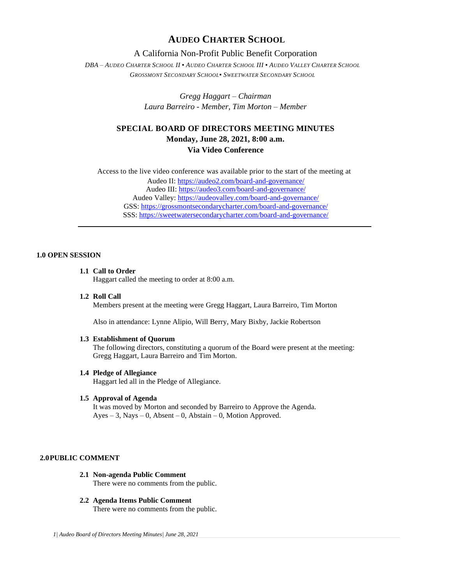## **AUDEO CHARTER SCHOOL**

## A California Non-Profit Public Benefit Corporation

DBA - AUDEO CHARTER SCHOOL II . AUDEO CHARTER SCHOOL III . AUDEO VALLEY CHARTER SCHOOL *GROSSMONT SECONDARY SCHOOL▪ SWEETWATER SECONDARY SCHOOL*

> *Gregg Haggart – Chairman Laura Barreiro - Member, Tim Morton – Member*

# **SPECIAL BOARD OF DIRECTORS MEETING MINUTES Monday, June 28, 2021, 8:00 a.m. Via Video Conference**

Access to the live video conference was available prior to the start of the meeting at Audeo II[: https://audeo2.com/board-and-governance/](https://audeo2.com/board-and-governance/) Audeo III:<https://audeo3.com/board-and-governance/> Audeo Valley:<https://audeovalley.com/board-and-governance/> GSS:<https://grossmontsecondarycharter.com/board-and-governance/> SSS:<https://sweetwatersecondarycharter.com/board-and-governance/>

## **1.0 OPEN SESSION**

## **1.1 Call to Order**

Haggart called the meeting to order at 8:00 a.m.

**1.2 Roll Call**

Members present at the meeting were Gregg Haggart, Laura Barreiro, Tim Morton

Also in attendance: Lynne Alipio, Will Berry, Mary Bixby, Jackie Robertson

#### **1.3 Establishment of Quorum**

The following directors, constituting a quorum of the Board were present at the meeting: Gregg Haggart, Laura Barreiro and Tim Morton.

#### **1.4 Pledge of Allegiance**

Haggart led all in the Pledge of Allegiance.

## **1.5 Approval of Agenda**

It was moved by Morton and seconded by Barreiro to Approve the Agenda.  $Ayes - 3$ , Nays – 0, Absent – 0, Abstain – 0, Motion Approved.

#### **2.0PUBLIC COMMENT**

- **2.1 Non-agenda Public Comment** There were no comments from the public.
- **2.2 Agenda Items Public Comment** There were no comments from the public.